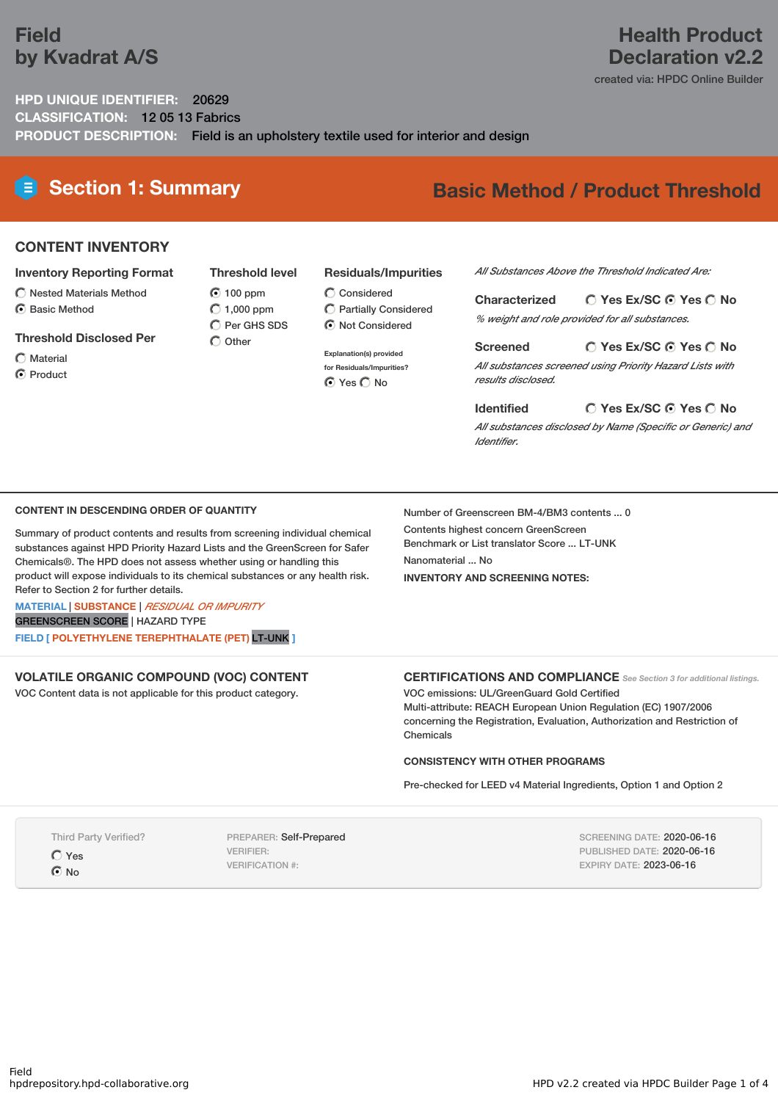# **Field by Kvadrat A/S**

# **Health Product Declaration v2.2**

created via: HPDC Online Builder

# **HPD UNIQUE IDENTIFIER:** 20629 **CLASSIFICATION:** 12 05 13 Fabrics **PRODUCT DESCRIPTION:** Field is an upholstery textile used for interior and design

# **Section 1: Summary Basic Method / Product Threshold**

# **CONTENT INVENTORY**

### **Inventory Reporting Format**

- $\bigcirc$  Nested Materials Method
- **⊙** Basic Method

## **Threshold Disclosed Per**

 $\bigcap$  Material

C Product

**Threshold level** 100 ppm  $O$  1,000 ppm  $\overline{O}$  Per GHS SDS  $\bigcap$  Other

## **Residuals/Impurities**

 $\bigcirc$  Considered Partially Considered  $\odot$  Not Considered

**Explanation(s) provided for Residuals/Impurities? O** Yes O No

*All Substances Above the Threshold Indicated Are:*

**Yes Ex/SC Yes No Characterized** *% weight and role provided for all substances.*

**Yes Ex/SC Yes No Screened** *All substances screened using Priority Hazard Lists with results disclosed.*

**Yes Ex/SC Yes No Identified**

*All substances disclosed by Name (Specific or Generic) and Identifier.*

## **CONTENT IN DESCENDING ORDER OF QUANTITY**

Summary of product contents and results from screening individual chemical substances against HPD Priority Hazard Lists and the GreenScreen for Safer Chemicals®. The HPD does not assess whether using or handling this product will expose individuals to its chemical substances or any health risk. Refer to Section 2 for further details.

**MATERIAL** | **SUBSTANCE** | *RESIDUAL OR IMPURITY* GREENSCREEN SCORE | HAZARD TYPE

**FIELD [ POLYETHYLENE TEREPHTHALATE (PET)** LT-UNK **]**

**VOLATILE ORGANIC COMPOUND (VOC) CONTENT**

VOC Content data is not applicable for this product category.

## **CERTIFICATIONS AND COMPLIANCE** *See Section <sup>3</sup> for additional listings.*

VOC emissions: UL/GreenGuard Gold Certified Multi-attribute: REACH European Union Regulation (EC) 1907/2006 concerning the Registration, Evaluation, Authorization and Restriction of Chemicals

#### **CONSISTENCY WITH OTHER PROGRAMS**

Number of Greenscreen BM-4/BM3 contents ... 0

Contents highest concern GreenScreen Benchmark or List translator Score ... LT-UNK

**INVENTORY AND SCREENING NOTES:**

Nanomaterial ... No

Pre-checked for LEED v4 Material Ingredients, Option 1 and Option 2

Third Party Verified?

Yes

 $\bigcap$  No

PREPARER: Self-Prepared VERIFIER: VERIFICATION #:

SCREENING DATE: 2020-06-16 PUBLISHED DATE: 2020-06-16 EXPIRY DATE: 2023-06-16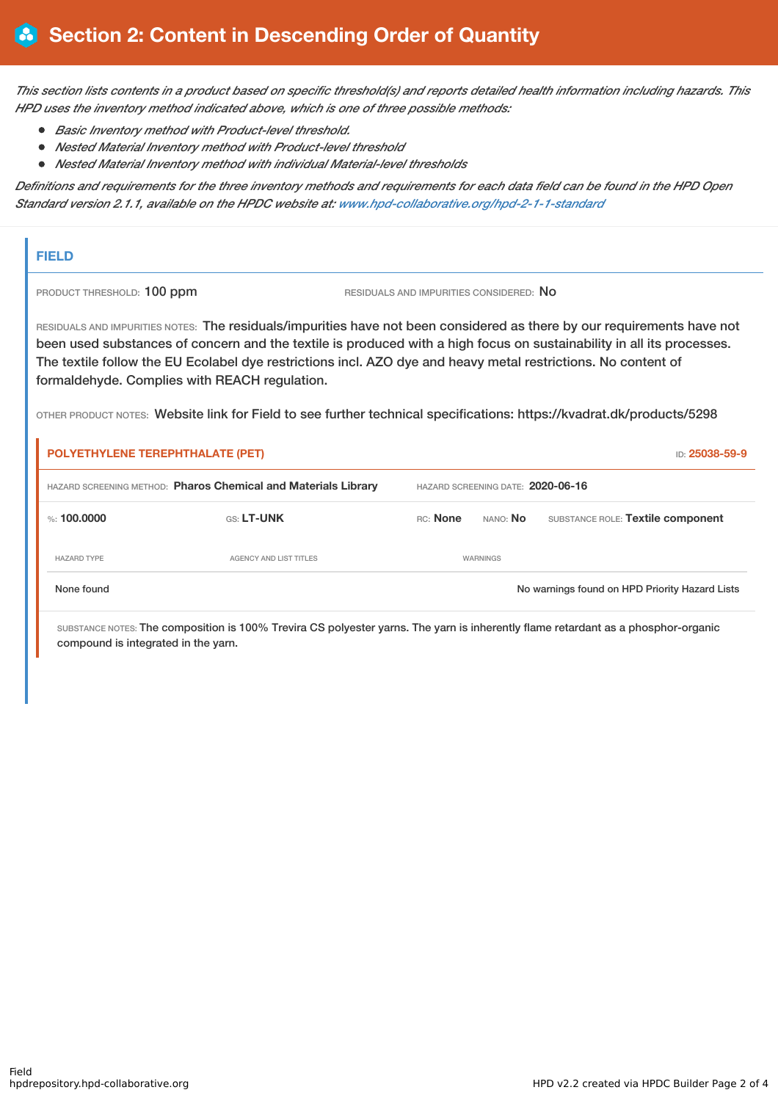This section lists contents in a product based on specific threshold(s) and reports detailed health information including hazards. This *HPD uses the inventory method indicated above, which is one of three possible methods:*

- *Basic Inventory method with Product-level threshold.*
- *Nested Material Inventory method with Product-level threshold*
- *Nested Material Inventory method with individual Material-level thresholds*

Definitions and requirements for the three inventory methods and requirements for each data field can be found in the HPD Open *Standard version 2.1.1, available on the HPDC website at: [www.hpd-collaborative.org/hpd-2-1-1-standard](https://www.hpd-collaborative.org/hpd-2-1-1-standard)*

# **FIELD**

PRODUCT THRESHOLD: 100 ppm RESIDUALS AND IMPURITIES CONSIDERED: No

RESIDUALS AND IMPURITIES NOTES: The residuals/impurities have not been considered as there by our requirements have not been used substances of concern and the textile is produced with a high focus on sustainability in all its processes. The textile follow the EU Ecolabel dye restrictions incl. AZO dye and heavy metal restrictions. No content of formaldehyde. Complies with REACH regulation.

OTHER PRODUCT NOTES: Website link for Field to see further technical specifications: https://kvadrat.dk/products/5298

| POLYETHYLENE TEREPHTHALATE (PET)<br>ID: 25038-59-9             |                        |                                   |                 |                                                |  |  |
|----------------------------------------------------------------|------------------------|-----------------------------------|-----------------|------------------------------------------------|--|--|
| HAZARD SCREENING METHOD: Pharos Chemical and Materials Library |                        | HAZARD SCREENING DATE: 2020-06-16 |                 |                                                |  |  |
| %: $100.0000$                                                  | <b>GS: LT-UNK</b>      | <b>RC:</b> None                   | NANO: <b>No</b> | SUBSTANCE ROLE: Textile component              |  |  |
| <b>HAZARD TYPE</b>                                             | AGENCY AND LIST TITLES |                                   | WARNINGS        |                                                |  |  |
| None found                                                     |                        |                                   |                 | No warnings found on HPD Priority Hazard Lists |  |  |

SUBSTANCE NOTES: The composition is 100% Trevira CS polyester yarns. The yarn is inherently flame retardant as a phosphor-organic compound is integrated in the yarn.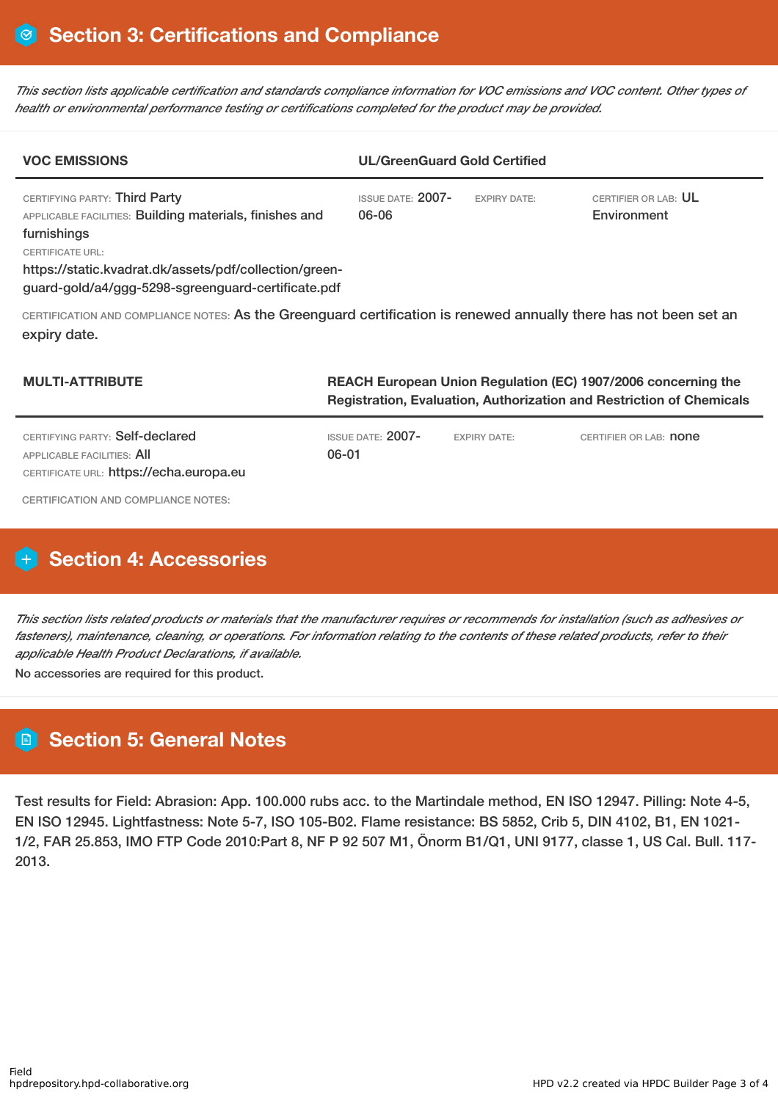This section lists applicable certification and standards compliance information for VOC emissions and VOC content. Other types of *health or environmental performance testing or certifications completed for the product may be provided.*

| <b>VOC EMISSIONS</b>                                                                                                             | <b>UL/GreenGuard Gold Certified</b> |                     |                                     |  |
|----------------------------------------------------------------------------------------------------------------------------------|-------------------------------------|---------------------|-------------------------------------|--|
| CERTIFYING PARTY: Third Party<br>APPLICABLE FACILITIES: Building materials, finishes and<br>furnishings                          | <b>ISSUE DATE: 2007-</b><br>06-06   | <b>EXPIRY DATE:</b> | CERTIFIER OR LAB: UL<br>Environment |  |
| CERTIFICATE URL:<br>https://static.kvadrat.dk/assets/pdf/collection/green-<br>guard-gold/a4/ggg-5298-sgreenguard-certificate.pdf |                                     |                     |                                     |  |

CERTIFICATION AND COMPLIANCE NOTES: As the Greenguard certification is renewed annually there has not been set an expiry date.

| <b>MULTI-ATTRIBUTE</b>                                                                                   | REACH European Union Regulation (EC) 1907/2006 concerning the<br><b>Registration, Evaluation, Authorization and Restriction of Chemicals</b> |                     |                               |  |  |
|----------------------------------------------------------------------------------------------------------|----------------------------------------------------------------------------------------------------------------------------------------------|---------------------|-------------------------------|--|--|
| CERTIFYING PARTY: Self-declared<br>APPLICABLE FACILITIES: AII<br>CERTIFICATE URL: https://echa.europa.eu | ISSUE DATE: $2007-$<br>06-01                                                                                                                 | <b>EXPIRY DATE:</b> | CERTIFIER OR LAB: <b>none</b> |  |  |

CERTIFICATION AND COMPLIANCE NOTES:

# **H** Section 4: Accessories

This section lists related products or materials that the manufacturer requires or recommends for installation (such as adhesives or fasteners), maintenance, cleaning, or operations. For information relating to the contents of these related products, refer to their *applicable Health Product Declarations, if available.*

No accessories are required for this product.

# **Section 5: General Notes**

Test results for Field: Abrasion: App. 100.000 rubs acc. to the Martindale method, EN ISO 12947. Pilling: Note 4-5, EN ISO 12945. Lightfastness: Note 5-7, ISO 105-B02. Flame resistance: BS 5852, Crib 5, DIN 4102, B1, EN 1021- 1/2, FAR 25.853, IMO FTP Code 2010:Part 8, NF P 92 507 M1, Önorm B1/Q1, UNI 9177, classe 1, US Cal. Bull. 117- 2013.